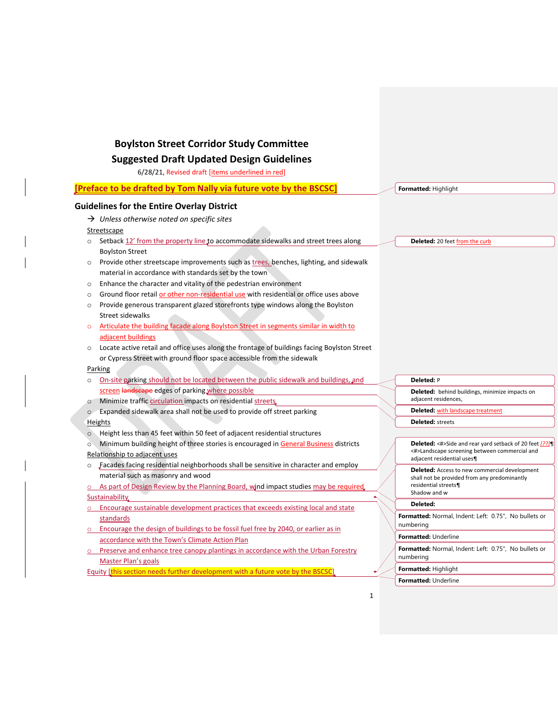# **Boylston Street Corridor Study Committee**

# **Suggested Draft Updated Design Guidelines**

6/28/21, Revised draft [items underlined in red]

| [Preface to be drafted by Tom Nally via future vote by the BSCSC] |                                                                                                           |  | Formatted: Highlight                                                        |
|-------------------------------------------------------------------|-----------------------------------------------------------------------------------------------------------|--|-----------------------------------------------------------------------------|
| <b>Guidelines for the Entire Overlay District</b>                 |                                                                                                           |  |                                                                             |
|                                                                   | $\rightarrow$ Unless otherwise noted on specific sites                                                    |  |                                                                             |
|                                                                   | Streetscape                                                                                               |  |                                                                             |
| $\circ$                                                           | Setback 12' from the property line to accommodate sidewalks and street trees along                        |  | Deleted: 20 feet from the curb                                              |
|                                                                   | <b>Boylston Street</b>                                                                                    |  |                                                                             |
| $\circ$                                                           | Provide other streetscape improvements such as trees, benches, lighting, and sidewalk                     |  |                                                                             |
|                                                                   | material in accordance with standards set by the town                                                     |  |                                                                             |
| $\circ$                                                           | Enhance the character and vitality of the pedestrian environment                                          |  |                                                                             |
| $\circ$                                                           | Ground floor retail or other non-residential use with residential or office uses above                    |  |                                                                             |
| $\circ$                                                           | Provide generous transparent glazed storefronts type windows along the Boylston                           |  |                                                                             |
|                                                                   | Street sidewalks                                                                                          |  |                                                                             |
| $\circ$                                                           | Articulate the building facade along Boylston Street in segments similar in width to                      |  |                                                                             |
|                                                                   | adjacent buildings                                                                                        |  |                                                                             |
| $\circ$                                                           | Locate active retail and office uses along the frontage of buildings facing Boylston Street               |  |                                                                             |
|                                                                   | or Cypress Street with ground floor space accessible from the sidewalk                                    |  |                                                                             |
| Parking                                                           |                                                                                                           |  |                                                                             |
| $\circ$                                                           | On-site parking should not be located between the public sidewalk and buildings, and                      |  | Deleted: P                                                                  |
|                                                                   | screen landscape edges of parking where possible                                                          |  | <b>Deleted:</b> behind buildings, minimize impacts on                       |
| $\circ$                                                           | Minimize traffic circulation impacts on residential streets.                                              |  | adjacent residences,                                                        |
| $\circ$                                                           | Expanded sidewalk area shall not be used to provide off street parking                                    |  | <b>Deleted: with landscape treatment</b>                                    |
| Heights                                                           |                                                                                                           |  | <b>Deleted:</b> streets                                                     |
| $\circ$                                                           | Height less than 45 feet within 50 feet of adjacent residential structures                                |  |                                                                             |
| $\circ$                                                           | Minimum building height of three stories is encouraged in General Business districts                      |  | Deleted: <#>Side and rear yard setback of 20 feet [??]                      |
|                                                                   | Relationship to adjacent uses                                                                             |  | <#>Landscape screening between commercial and<br>adjacent residential uses¶ |
| $\circ$                                                           | Facades facing residential neighborhoods shall be sensitive in character and employ                       |  | <b>Deleted:</b> Access to new commercial development                        |
|                                                                   | material such as masonry and wood                                                                         |  | shall not be provided from any predominantly                                |
|                                                                   | o As part of Design Review by the Planning Board, wind impact studies may be required                     |  | residential streets¶<br>Shadow and w                                        |
|                                                                   | Sustainability                                                                                            |  | Deleted:                                                                    |
| $\circ$                                                           | Encourage sustainable development practices that exceeds existing local and state                         |  | Formatted: Normal, Indent: Left: 0.75", No bullets or                       |
|                                                                   | standards                                                                                                 |  | numbering                                                                   |
|                                                                   | o Encourage the design of buildings to be fossil fuel free by 2040, or earlier as in                      |  | Formatted: Underline                                                        |
|                                                                   | accordance with the Town's Climate Action Plan                                                            |  | Formatted: Normal, Indent: Left: 0.75", No bullets or                       |
|                                                                   | o Preserve and enhance tree canopy plantings in accordance with the Urban Forestry<br>Master Plan's goals |  | numbering                                                                   |
|                                                                   | Equity [this section needs further development with a future vote by the BSCSC]                           |  | <b>Formatted: Highlight</b>                                                 |
|                                                                   |                                                                                                           |  | <b>Formatted: Underline</b>                                                 |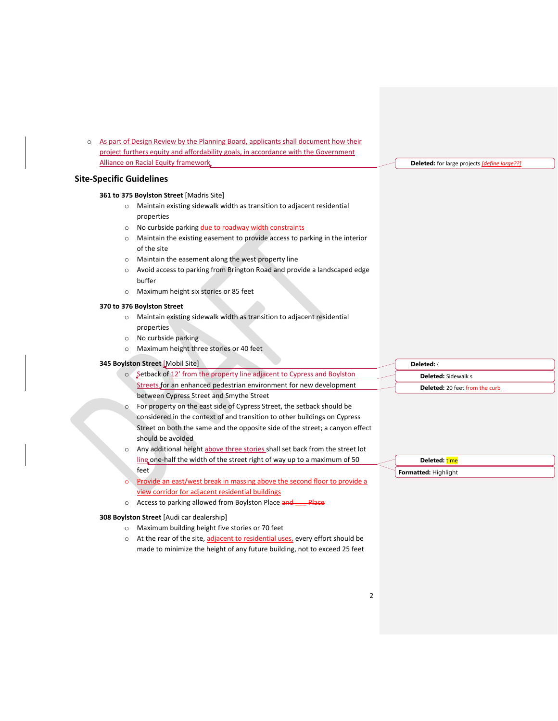o As part of Design Review by the Planning Board, applicants shall document how their project furthers equity and affordability goals, in accordance with the Government Alliance on Racial Equity framework

# **Site-Specific Guidelines**

# **361 to 375 Boylston Street** [Madris Site]

- o Maintain existing sidewalk width as transition to adjacent residential properties
- o No curbside parking due to roadway width constraints
- o Maintain the existing easement to provide access to parking in the interior of the site
- o Maintain the easement along the west property line
- o Avoid access to parking from Brington Road and provide a landscaped edge buffer
- o Maximum height six stories or 85 feet

## **370 to 376 Boylston Street**

- o Maintain existing sidewalk width as transition to adjacent residential properties
- o No curbside parking
- o Maximum height three stories or 40 feet

#### **345 Boylston Street** [Mobil Site]

- o Setback of 12' from the property line adjacent to Cypress and Boylston Streets for an enhanced pedestrian environment for new development between Cypress Street and Smythe Street
- o For property on the east side of Cypress Street, the setback should be considered in the context of and transition to other buildings on Cypress Street on both the same and the opposite side of the street; a canyon effect should be avoided
- o Any additional height above three stories shall set back from the street lot line one-half the width of the street right of way up to a maximum of 50 feet
- Provide an east/west break in massing above the second floor to provide a view corridor for adjacent residential buildings
- o Access to parking allowed from Boylston Place and Place

### **308 Boylston Street** [Audi car dealership]

- o Maximum building height five stories or 70 feet
- o At the rear of the site, adjacent to residential uses, every effort should be made to minimize the height of any future building, not to exceed 25 feet

**Deleted:** { **Deleted:** Sidewalk s **Deleted:** 20 feet from the curb

**Deleted:** for large projects *[define large??]*

**Deleted:** time **Formatted:** Highlight

2